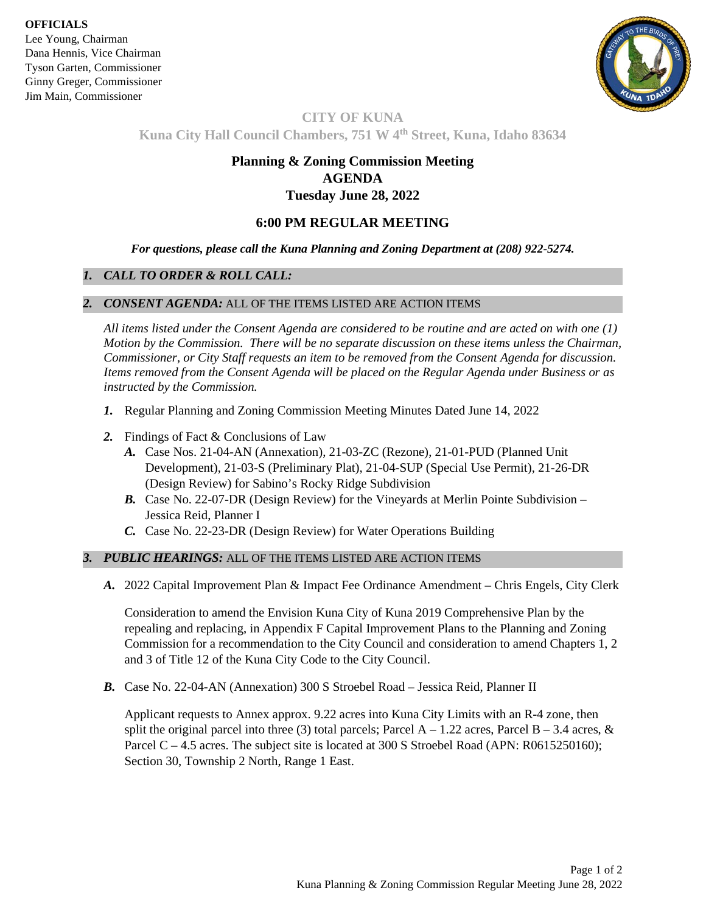**OFFICIALS**

Lee Young, Chairman Dana Hennis, Vice Chairman Tyson Garten, Commissioner Ginny Greger, Commissioner Jim Main, Commissioner



# **CITY OF KUNA Kuna City Hall Council Chambers, 751 W 4th Street, Kuna, Idaho 83634**

## **Planning & Zoning Commission Meeting AGENDA Tuesday June 28, 2022**

## **6:00 PM REGULAR MEETING**

*For questions, please call the Kuna Planning and Zoning Department at (208) 922-5274.*

## *1. CALL TO ORDER & ROLL CALL:*

#### *2. CONSENT AGENDA:* ALL OF THE ITEMS LISTED ARE ACTION ITEMS

*All items listed under the Consent Agenda are considered to be routine and are acted on with one (1) Motion by the Commission. There will be no separate discussion on these items unless the Chairman, Commissioner, or City Staff requests an item to be removed from the Consent Agenda for discussion. Items removed from the Consent Agenda will be placed on the Regular Agenda under Business or as instructed by the Commission.* 

- *1.* Regular Planning and Zoning Commission Meeting Minutes Dated June 14, 2022
- *2.* Findings of Fact & Conclusions of Law
	- *A.* Case Nos. 21-04-AN (Annexation), 21-03-ZC (Rezone), 21-01-PUD (Planned Unit Development), 21-03-S (Preliminary Plat), 21-04-SUP (Special Use Permit), 21-26-DR (Design Review) for Sabino's Rocky Ridge Subdivision
	- *B.* Case No. 22-07-DR (Design Review) for the Vineyards at Merlin Pointe Subdivision Jessica Reid, Planner I
	- *C.* Case No. 22-23-DR (Design Review) for Water Operations Building

## *3. PUBLIC HEARINGS:* ALL OF THE ITEMS LISTED ARE ACTION ITEMS

*A.* 2022 Capital Improvement Plan & Impact Fee Ordinance Amendment – Chris Engels, City Clerk

Consideration to amend the Envision Kuna City of Kuna 2019 Comprehensive Plan by the repealing and replacing, in Appendix F Capital Improvement Plans to the Planning and Zoning Commission for a recommendation to the City Council and consideration to amend Chapters 1, 2 and 3 of Title 12 of the Kuna City Code to the City Council.

*B.* Case No. 22-04-AN (Annexation) 300 S Stroebel Road – Jessica Reid, Planner II

Applicant requests to Annex approx. 9.22 acres into Kuna City Limits with an R-4 zone, then split the original parcel into three (3) total parcels; Parcel  $A - 1.22$  acres, Parcel  $B - 3.4$  acres, & Parcel C – 4.5 acres. The subject site is located at 300 S Stroebel Road (APN: R0615250160); Section 30, Township 2 North, Range 1 East.